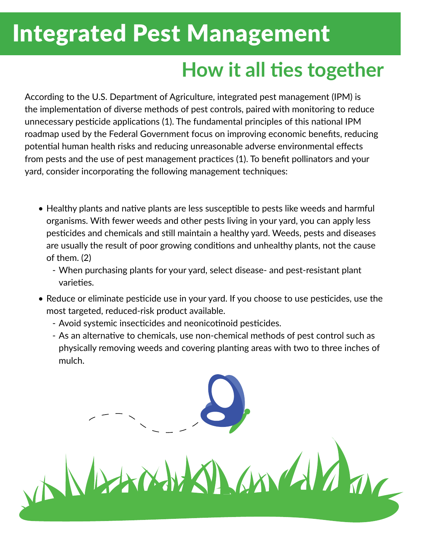## Integrated Pest Management

## **How it all ties together**

According to the U.S. Department of Agriculture, integrated pest management (IPM) is the implementation of diverse methods of pest controls, paired with monitoring to reduce unnecessary pesticide applications (1). The fundamental principles of this national IPM roadmap used by the Federal Government focus on improving economic benefits, reducing potential human health risks and reducing unreasonable adverse environmental effects from pests and the use of pest management practices (1). To benefit pollinators and your yard, consider incorporating the following management techniques:

- Healthy plants and native plants are less susceptible to pests like weeds and harmful organisms. With fewer weeds and other pests living in your yard, you can apply less pesticides and chemicals and still maintain a healthy yard. Weeds, pests and diseases are usually the result of poor growing conditions and unhealthy plants, not the cause of them. (2)
	- When purchasing plants for your yard, select disease- and pest-resistant plant varieties.
- Reduce or eliminate pesticide use in your yard. If you choose to use pesticides, use the most targeted, reduced-risk product available.
	- Avoid systemic insecticides and neonicotinoid pesticides.

ANDAM

- As an alternative to chemicals, use non-chemical methods of pest control such as physically removing weeds and covering planting areas with two to three inches of mulch.

LANGVA